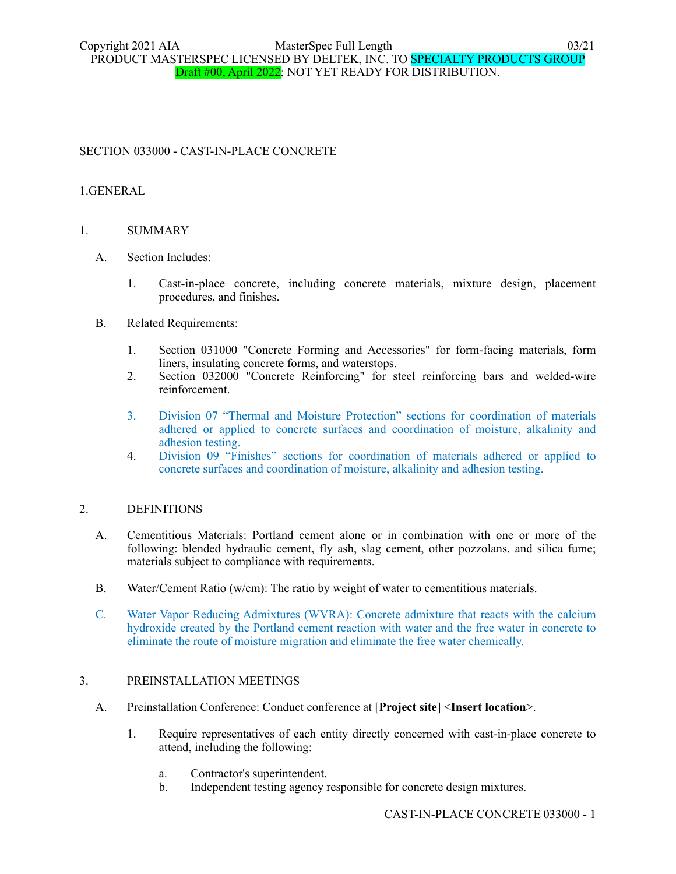# SECTION 033000 - CAST-IN-PLACE CONCRETE

### 1.GENERAL

### 1. SUMMARY

- A. Section Includes:
	- 1. Cast-in-place concrete, including concrete materials, mixture design, placement procedures, and finishes.
- B. Related Requirements:
	- 1. Section 031000 "Concrete Forming and Accessories" for form-facing materials, form liners, insulating concrete forms, and waterstops.
	- 2. Section 032000 "Concrete Reinforcing" for steel reinforcing bars and welded-wire reinforcement.
	- 3. Division 07 "Thermal and Moisture Protection" sections for coordination of materials adhered or applied to concrete surfaces and coordination of moisture, alkalinity and adhesion testing.
	- 4. Division 09 "Finishes" sections for coordination of materials adhered or applied to concrete surfaces and coordination of moisture, alkalinity and adhesion testing.

### 2. DEFINITIONS

- A. Cementitious Materials: Portland cement alone or in combination with one or more of the following: blended hydraulic cement, fly ash, slag cement, other pozzolans, and silica fume; materials subject to compliance with requirements.
- B. Water/Cement Ratio (w/cm): The ratio by weight of water to cementitious materials.
- C. Water Vapor Reducing Admixtures (WVRA): Concrete admixture that reacts with the calcium hydroxide created by the Portland cement reaction with water and the free water in concrete to eliminate the route of moisture migration and eliminate the free water chemically.

### 3. PREINSTALLATION MEETINGS

- A. Preinstallation Conference: Conduct conference at [**Project site**] <**Insert location**>.
	- 1. Require representatives of each entity directly concerned with cast-in-place concrete to attend, including the following:
		- a. Contractor's superintendent.
		- b. Independent testing agency responsible for concrete design mixtures.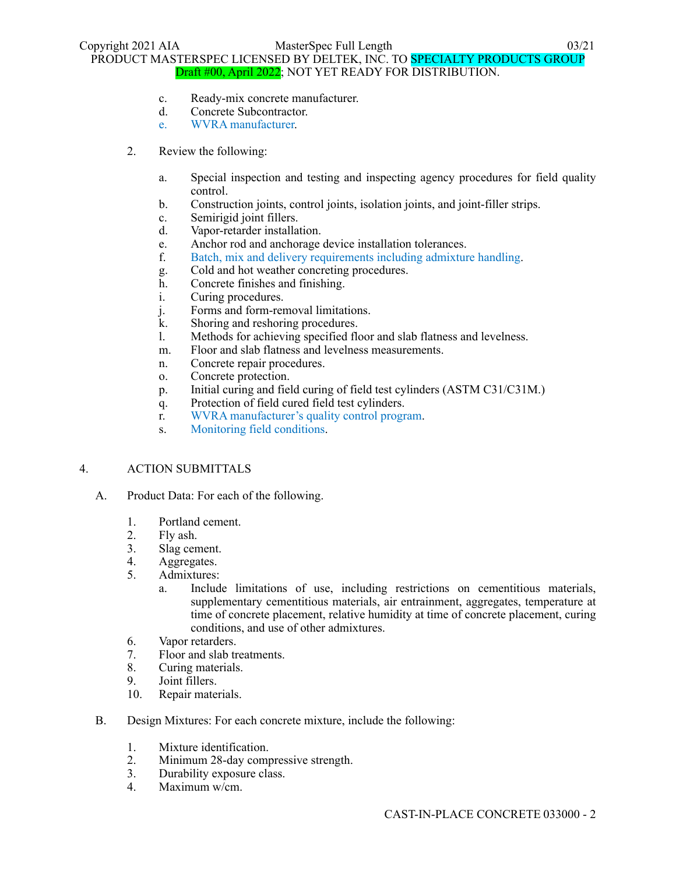- c. Ready-mix concrete manufacturer.
- d. Concrete Subcontractor.
- e. WVRA manufacturer.
- 2. Review the following:
	- a. Special inspection and testing and inspecting agency procedures for field quality control.
	- b. Construction joints, control joints, isolation joints, and joint-filler strips.
	- c. Semirigid joint fillers.
	- d. Vapor-retarder installation.
	- e. Anchor rod and anchorage device installation tolerances.
	- f. Batch, mix and delivery requirements including admixture handling.
	- g. Cold and hot weather concreting procedures.
	- h. Concrete finishes and finishing.
	- i. Curing procedures.
	- j. Forms and form-removal limitations.
	- k. Shoring and reshoring procedures.
	- l. Methods for achieving specified floor and slab flatness and levelness.
	- m. Floor and slab flatness and levelness measurements.
	- n. Concrete repair procedures.
	- o. Concrete protection.
	- p. Initial curing and field curing of field test cylinders (ASTM C31/C31M.)
	- q. Protection of field cured field test cylinders.
	- r. WVRA manufacturer's quality control program.
	- s. Monitoring field conditions.

#### 4. ACTION SUBMITTALS

- A. Product Data: For each of the following.
	- 1. Portland cement.
	- 2. Fly ash.
	- 3. Slag cement.
	- 4. Aggregates.
	- 5. Admixtures:
		- a. Include limitations of use, including restrictions on cementitious materials, supplementary cementitious materials, air entrainment, aggregates, temperature at time of concrete placement, relative humidity at time of concrete placement, curing conditions, and use of other admixtures.
	- 6. Vapor retarders.
	- 7. Floor and slab treatments.
	- 8. Curing materials.
	- 9. Joint fillers.
	- 10. Repair materials.
- B. Design Mixtures: For each concrete mixture, include the following:
	- 1. Mixture identification.
	- 2. Minimum 28-day compressive strength.
	- 3. Durability exposure class.
	- 4. Maximum w/cm.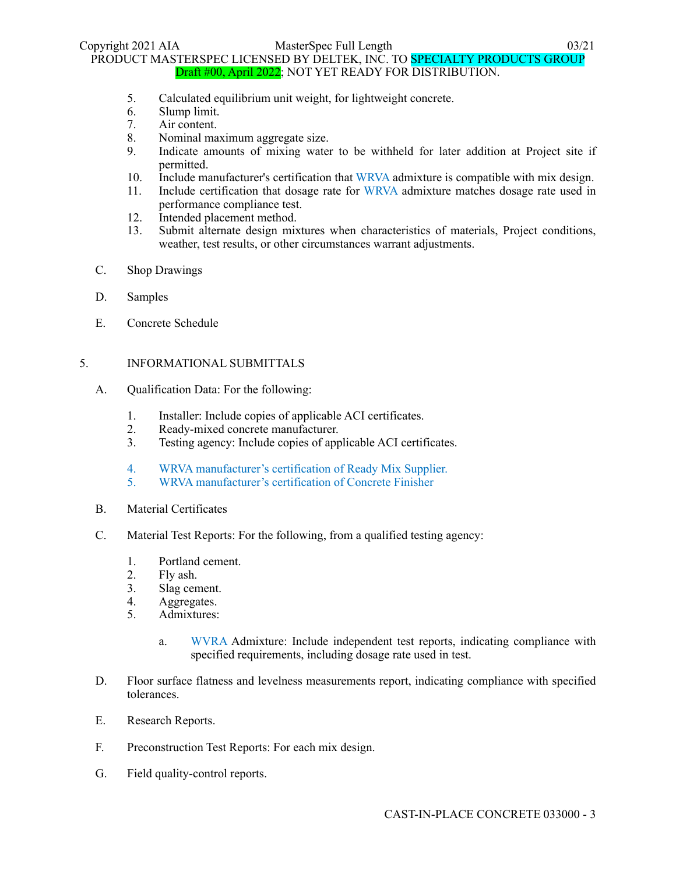- 5. Calculated equilibrium unit weight, for lightweight concrete.
- 6. Slump limit.
- 7. Air content.
- 8. Nominal maximum aggregate size.
- 9. Indicate amounts of mixing water to be withheld for later addition at Project site if permitted.
- 10. Include manufacturer's certification that WRVA admixture is compatible with mix design.
- 11. Include certification that dosage rate for WRVA admixture matches dosage rate used in performance compliance test.
- 12. Intended placement method.
- 13. Submit alternate design mixtures when characteristics of materials, Project conditions, weather, test results, or other circumstances warrant adjustments.
- C. Shop Drawings
- D. Samples
- E. Concrete Schedule

### 5. INFORMATIONAL SUBMITTALS

- A. Qualification Data: For the following:
	- 1. Installer: Include copies of applicable ACI certificates.
	- 2. Ready-mixed concrete manufacturer.
	- 3. Testing agency: Include copies of applicable ACI certificates.
	- 4. WRVA manufacturer's certification of Ready Mix Supplier.
	- 5. WRVA manufacturer's certification of Concrete Finisher
- B. Material Certificates
- C. Material Test Reports: For the following, from a qualified testing agency:
	- 1. Portland cement.
	- 2. Fly ash.
	- 3. Slag cement.
	- 4. Aggregates.
	- 5. Admixtures:
		- a. WVRA Admixture: Include independent test reports, indicating compliance with specified requirements, including dosage rate used in test.
- D. Floor surface flatness and levelness measurements report, indicating compliance with specified tolerances.
- E. Research Reports.
- F. Preconstruction Test Reports: For each mix design.
- G. Field quality-control reports.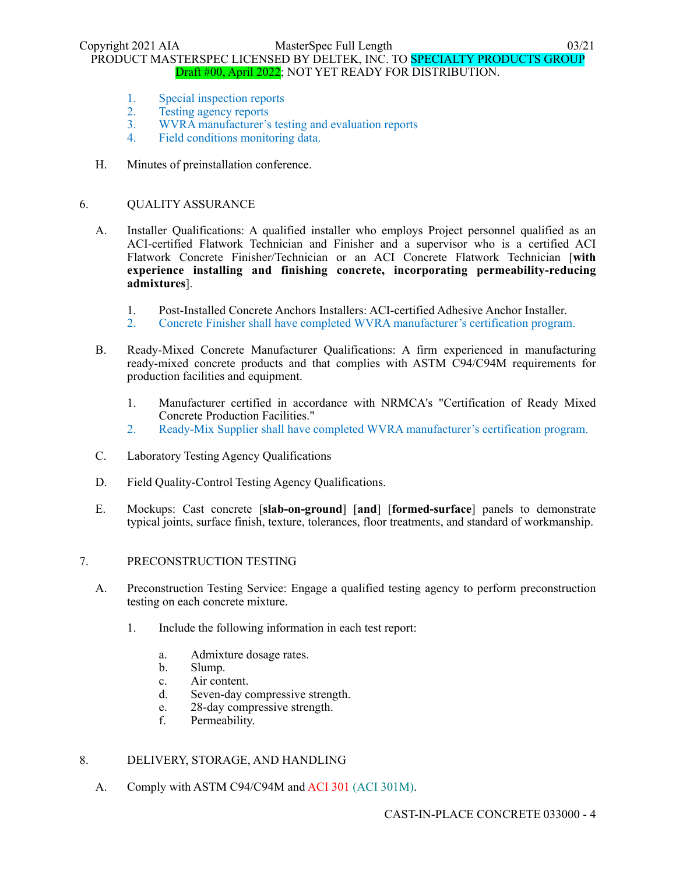Copyright 2021 AIA MasterSpec Full Length 03/21 PRODUCT MASTERSPEC LICENSED BY DELTEK, INC. TO SPECIALTY PRODUCTS GROUP Draft #00, April 2022; NOT YET READY FOR DISTRIBUTION.

- 1. Special inspection reports
- 2. Testing agency reports
- 3. WVRA manufacturer's testing and evaluation reports
- 4. Field conditions monitoring data.
- H. Minutes of preinstallation conference.

#### 6. QUALITY ASSURANCE

- A. Installer Qualifications: A qualified installer who employs Project personnel qualified as an ACI-certified Flatwork Technician and Finisher and a supervisor who is a certified ACI Flatwork Concrete Finisher/Technician or an ACI Concrete Flatwork Technician [**with experience installing and finishing concrete, incorporating permeability-reducing admixtures**].
	- 1. Post-Installed Concrete Anchors Installers: ACI-certified Adhesive Anchor Installer.
	- 2. Concrete Finisher shall have completed WVRA manufacturer's certification program.
- B. Ready-Mixed Concrete Manufacturer Qualifications: A firm experienced in manufacturing ready-mixed concrete products and that complies with ASTM C94/C94M requirements for production facilities and equipment.
	- 1. Manufacturer certified in accordance with NRMCA's "Certification of Ready Mixed Concrete Production Facilities."
	- 2. Ready-Mix Supplier shall have completed WVRA manufacturer's certification program.
- C. Laboratory Testing Agency Qualifications
- D. Field Quality-Control Testing Agency Qualifications.
- E. Mockups: Cast concrete [**slab-on-ground**] [**and**] [**formed-surface**] panels to demonstrate typical joints, surface finish, texture, tolerances, floor treatments, and standard of workmanship.

### 7. PRECONSTRUCTION TESTING

- A. Preconstruction Testing Service: Engage a qualified testing agency to perform preconstruction testing on each concrete mixture.
	- 1. Include the following information in each test report:
		- a. Admixture dosage rates.
		- b. Slump.
		- c. Air content.
		- d. Seven-day compressive strength.
		- e. 28-day compressive strength.
		- f. Permeability.

### 8. DELIVERY, STORAGE, AND HANDLING

A. Comply with ASTM C94/C94M and ACI 301 (ACI 301M).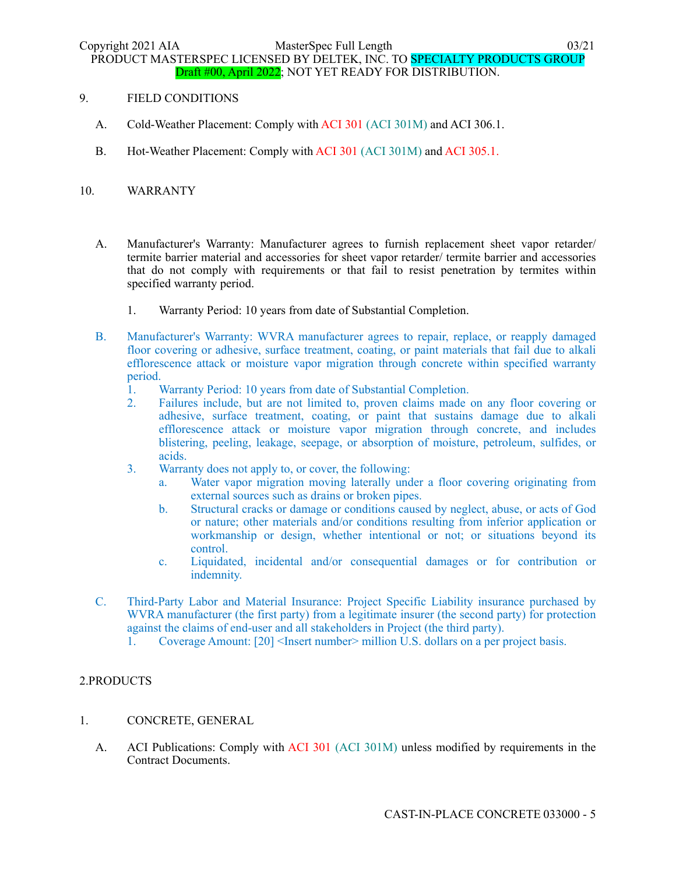- 9. FIELD CONDITIONS
	- A. Cold-Weather Placement: Comply with ACI 301 (ACI 301M) and ACI 306.1.
	- B. Hot-Weather Placement: Comply with ACI 301 (ACI 301M) and ACI 305.1.

### 10. WARRANTY

- A. Manufacturer's Warranty: Manufacturer agrees to furnish replacement sheet vapor retarder/ termite barrier material and accessories for sheet vapor retarder/ termite barrier and accessories that do not comply with requirements or that fail to resist penetration by termites within specified warranty period.
	- 1. Warranty Period: 10 years from date of Substantial Completion.
- B. Manufacturer's Warranty: WVRA manufacturer agrees to repair, replace, or reapply damaged floor covering or adhesive, surface treatment, coating, or paint materials that fail due to alkali efflorescence attack or moisture vapor migration through concrete within specified warranty period.
	- 1. Warranty Period: 10 years from date of Substantial Completion.
	- 2. Failures include, but are not limited to, proven claims made on any floor covering or adhesive, surface treatment, coating, or paint that sustains damage due to alkali efflorescence attack or moisture vapor migration through concrete, and includes blistering, peeling, leakage, seepage, or absorption of moisture, petroleum, sulfides, or acids.
	- 3. Warranty does not apply to, or cover, the following:
		- a. Water vapor migration moving laterally under a floor covering originating from external sources such as drains or broken pipes.
		- b. Structural cracks or damage or conditions caused by neglect, abuse, or acts of God or nature; other materials and/or conditions resulting from inferior application or workmanship or design, whether intentional or not; or situations beyond its control.
		- c. Liquidated, incidental and/or consequential damages or for contribution or indemnity.
- C. Third-Party Labor and Material Insurance: Project Specific Liability insurance purchased by WVRA manufacturer (the first party) from a legitimate insurer (the second party) for protection against the claims of end-user and all stakeholders in Project (the third party).
	- 1. Coverage Amount: [20] <Insert number> million U.S. dollars on a per project basis.

### 2.PRODUCTS

### 1. CONCRETE, GENERAL

A. ACI Publications: Comply with ACI 301 (ACI 301M) unless modified by requirements in the Contract Documents.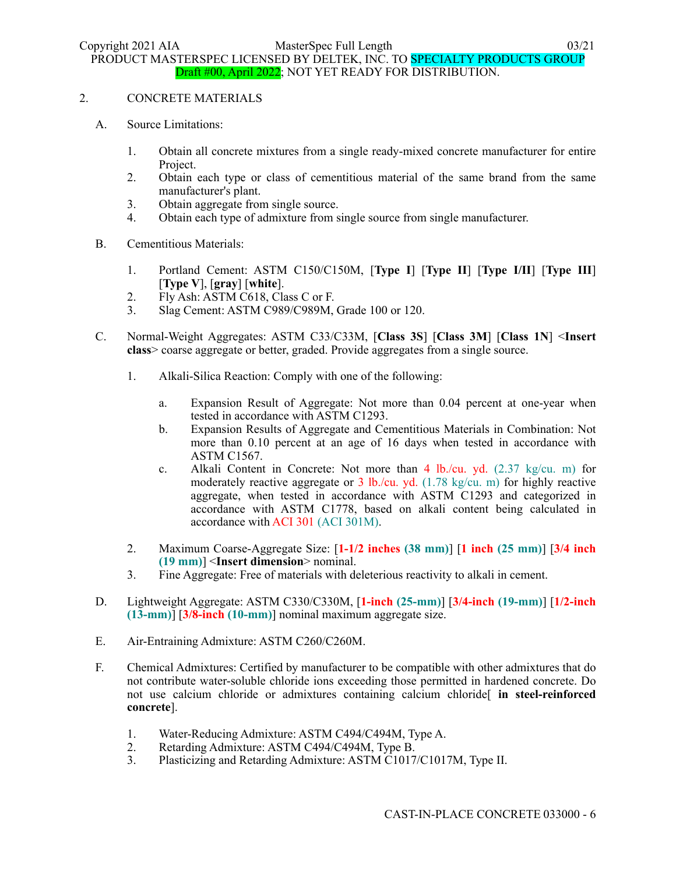# 2. CONCRETE MATERIALS

- A. Source Limitations:
	- 1. Obtain all concrete mixtures from a single ready-mixed concrete manufacturer for entire Project.
	- 2. Obtain each type or class of cementitious material of the same brand from the same manufacturer's plant.
	- 3. Obtain aggregate from single source.
	- 4. Obtain each type of admixture from single source from single manufacturer.
- B. Cementitious Materials:
	- 1. Portland Cement: ASTM C150/C150M, [**Type I**] [**Type II**] [**Type I/II**] [**Type III**] [**Type V**], [**gray**] [**white**].
	- 2. Fly Ash: ASTM C618, Class C or F.
	- 3. Slag Cement: ASTM C989/C989M, Grade 100 or 120.
- C. Normal-Weight Aggregates: ASTM C33/C33M, [**Class 3S**] [**Class 3M**] [**Class 1N**] <**Insert class**> coarse aggregate or better, graded. Provide aggregates from a single source.
	- 1. Alkali-Silica Reaction: Comply with one of the following:
		- a. Expansion Result of Aggregate: Not more than 0.04 percent at one-year when tested in accordance with ASTM C1293.
		- b. Expansion Results of Aggregate and Cementitious Materials in Combination: Not more than 0.10 percent at an age of 16 days when tested in accordance with ASTM C1567.
		- c. Alkali Content in Concrete: Not more than  $4 \text{ lb/cu. yd.}$  (2.37 kg/cu. m) for moderately reactive aggregate or 3 lb./cu. yd. (1.78 kg/cu. m) for highly reactive aggregate, when tested in accordance with ASTM C1293 and categorized in accordance with ASTM C1778, based on alkali content being calculated in accordance with ACI 301 (ACI 301M).
	- 2. Maximum Coarse-Aggregate Size: [**1-1/2 inches (38 mm)**] [**1 inch (25 mm)**] [**3/4 inch (19 mm)**] <**Insert dimension**> nominal.
	- 3. Fine Aggregate: Free of materials with deleterious reactivity to alkali in cement.
- D. Lightweight Aggregate: ASTM C330/C330M, [**1-inch (25-mm)**] [**3/4-inch (19-mm)**] [**1/2-inch (13-mm)**] [**3/8-inch (10-mm)**] nominal maximum aggregate size.
- E. Air-Entraining Admixture: ASTM C260/C260M.
- F. Chemical Admixtures: Certified by manufacturer to be compatible with other admixtures that do not contribute water-soluble chloride ions exceeding those permitted in hardened concrete. Do not use calcium chloride or admixtures containing calcium chloride[ **in steel-reinforced concrete**].
	- 1. Water-Reducing Admixture: ASTM C494/C494M, Type A.
	- 2. Retarding Admixture: ASTM C494/C494M, Type B.
	- 3. Plasticizing and Retarding Admixture: ASTM C1017/C1017M, Type II.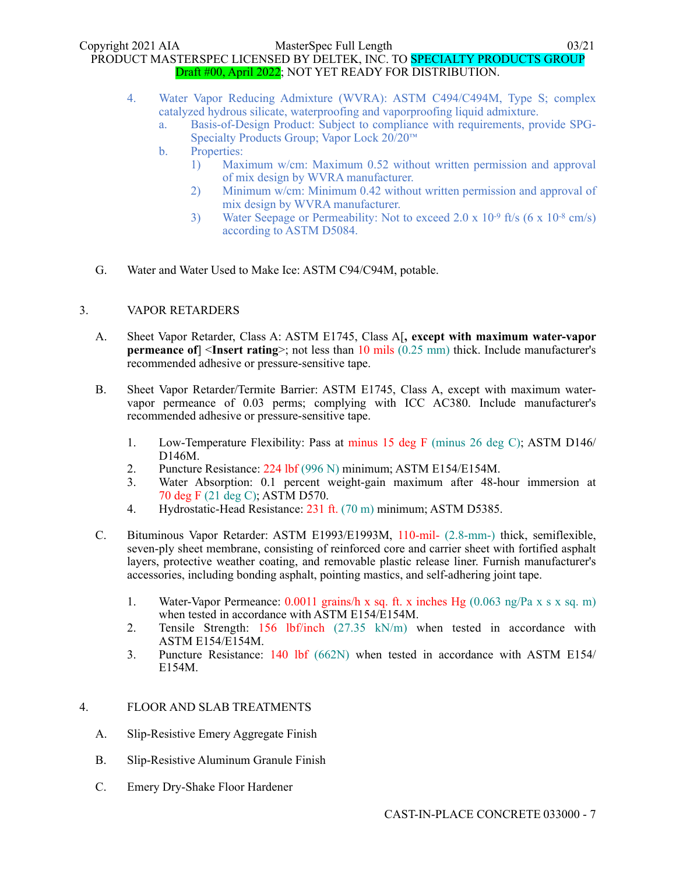- 4. Water Vapor Reducing Admixture (WVRA): ASTM C494/C494M, Type S; complex catalyzed hydrous silicate, waterproofing and vaporproofing liquid admixture.
	- a. Basis-of-Design Product: Subject to compliance with requirements, provide SPG-Specialty Products Group; Vapor Lock 20/20™
	- b. Properties:
		- 1) Maximum w/cm: Maximum 0.52 without written permission and approval of mix design by WVRA manufacturer.
		- 2) Minimum w/cm: Minimum 0.42 without written permission and approval of mix design by WVRA manufacturer.
		- 3) Water Seepage or Permeability: Not to exceed 2.0 x 10-9 ft/s (6 x 10-8 cm/s) according to ASTM D5084.
- G. Water and Water Used to Make Ice: ASTM C94/C94M, potable.

### 3. VAPOR RETARDERS

- A. Sheet Vapor Retarder, Class A: ASTM E1745, Class A[**, except with maximum water-vapor permeance of**] <**Insert rating**>; not less than 10 mils (0.25 mm) thick. Include manufacturer's recommended adhesive or pressure-sensitive tape.
- B. Sheet Vapor Retarder/Termite Barrier: ASTM E1745, Class A, except with maximum watervapor permeance of 0.03 perms; complying with ICC AC380. Include manufacturer's recommended adhesive or pressure-sensitive tape.
	- 1. Low-Temperature Flexibility: Pass at minus 15 deg F (minus 26 deg C); ASTM D146/ D146M.
	- 2. Puncture Resistance: 224 lbf (996 N) minimum; ASTM E154/E154M.
	- 3. Water Absorption: 0.1 percent weight-gain maximum after 48-hour immersion at 70 deg F (21 deg C); ASTM D570.
	- 4. Hydrostatic-Head Resistance: 231 ft. (70 m) minimum; ASTM D5385.
- C. Bituminous Vapor Retarder: ASTM E1993/E1993M, 110-mil- (2.8-mm-) thick, semiflexible, seven-ply sheet membrane, consisting of reinforced core and carrier sheet with fortified asphalt layers, protective weather coating, and removable plastic release liner. Furnish manufacturer's accessories, including bonding asphalt, pointing mastics, and self-adhering joint tape.
	- 1. Water-Vapor Permeance: 0.0011 grains/h x sq. ft. x inches Hg (0.063 ng/Pa x s x sq. m) when tested in accordance with ASTM E154/E154M.
	- 2. Tensile Strength: 156 lbf/inch (27.35 kN/m) when tested in accordance with ASTM E154/E154M.
	- 3. Puncture Resistance: 140 lbf (662N) when tested in accordance with ASTM E154/ E154M.

### 4. FLOOR AND SLAB TREATMENTS

- A. Slip-Resistive Emery Aggregate Finish
- B. Slip-Resistive Aluminum Granule Finish
- C. Emery Dry-Shake Floor Hardener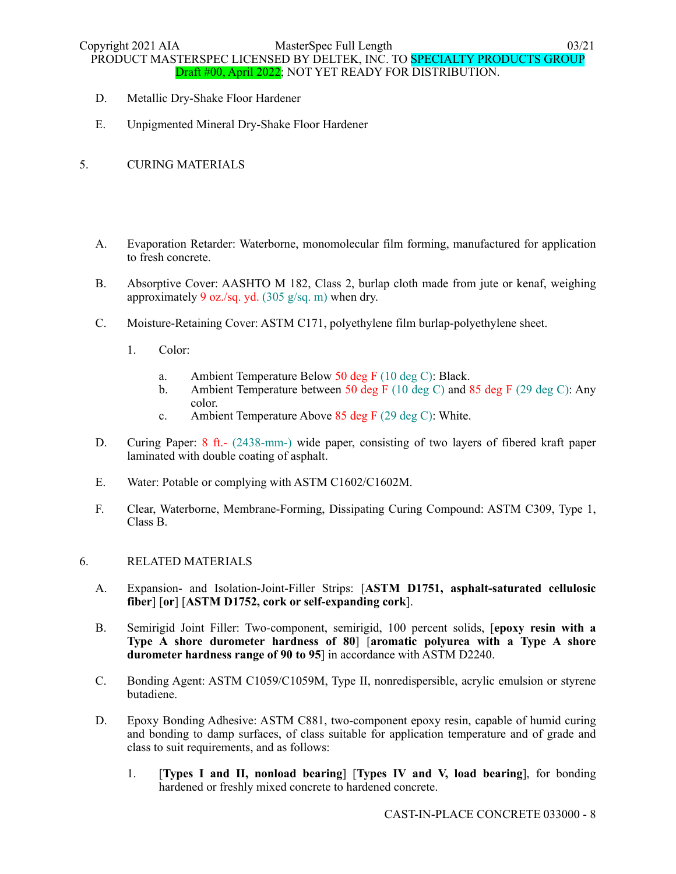- D. Metallic Dry-Shake Floor Hardener
- E. Unpigmented Mineral Dry-Shake Floor Hardener
- 5. CURING MATERIALS
	- A. Evaporation Retarder: Waterborne, monomolecular film forming, manufactured for application to fresh concrete.
	- B. Absorptive Cover: AASHTO M 182, Class 2, burlap cloth made from jute or kenaf, weighing approximately 9 oz./sq. yd. (305 g/sq. m) when dry.
	- C. Moisture-Retaining Cover: ASTM C171, polyethylene film burlap-polyethylene sheet.
		- 1. Color:
			- a. Ambient Temperature Below 50 deg F (10 deg C): Black.
			- b. Ambient Temperature between 50 deg F (10 deg C) and 85 deg F (29 deg C): Any color.
			- c. Ambient Temperature Above 85 deg F (29 deg C): White.
	- D. Curing Paper: 8 ft.- (2438-mm-) wide paper, consisting of two layers of fibered kraft paper laminated with double coating of asphalt.
	- E. Water: Potable or complying with ASTM C1602/C1602M.
	- F. Clear, Waterborne, Membrane-Forming, Dissipating Curing Compound: ASTM C309, Type 1, Class B.

### 6. RELATED MATERIALS

- A. Expansion- and Isolation-Joint-Filler Strips: [**ASTM D1751, asphalt-saturated cellulosic fiber**] [**or**] [**ASTM D1752, cork or self-expanding cork**].
- B. Semirigid Joint Filler: Two-component, semirigid, 100 percent solids, [**epoxy resin with a Type A shore durometer hardness of 80**] [**aromatic polyurea with a Type A shore durometer hardness range of 90 to 95**] in accordance with ASTM D2240.
- C. Bonding Agent: ASTM C1059/C1059M, Type II, nonredispersible, acrylic emulsion or styrene butadiene.
- D. Epoxy Bonding Adhesive: ASTM C881, two-component epoxy resin, capable of humid curing and bonding to damp surfaces, of class suitable for application temperature and of grade and class to suit requirements, and as follows:
	- 1. [**Types I and II, nonload bearing**] [**Types IV and V, load bearing**], for bonding hardened or freshly mixed concrete to hardened concrete.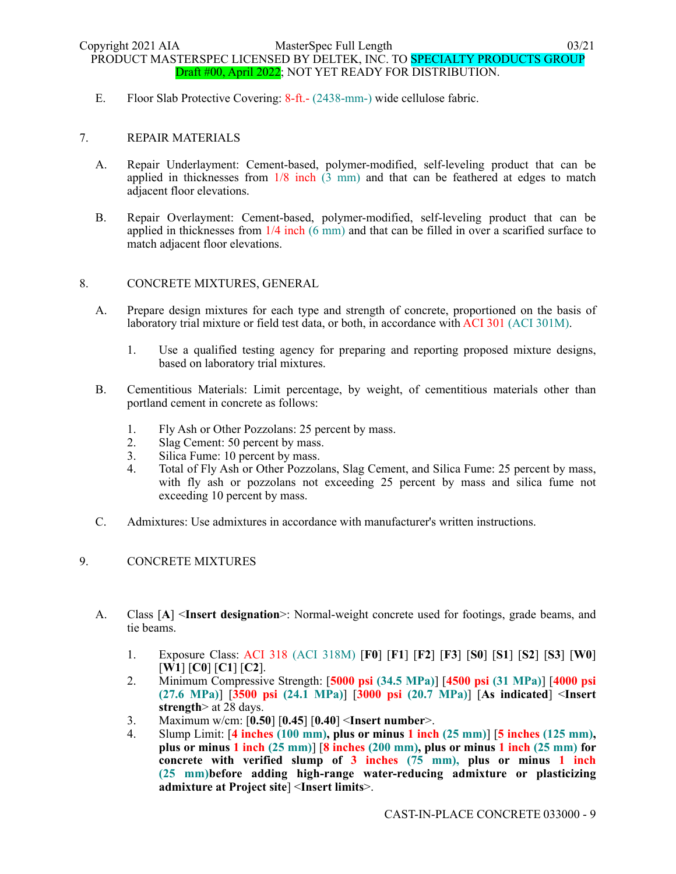E. Floor Slab Protective Covering: 8-ft.- (2438-mm-) wide cellulose fabric.

### 7. REPAIR MATERIALS

- A. Repair Underlayment: Cement-based, polymer-modified, self-leveling product that can be applied in thicknesses from 1/8 inch (3 mm) and that can be feathered at edges to match adjacent floor elevations.
- B. Repair Overlayment: Cement-based, polymer-modified, self-leveling product that can be applied in thicknesses from 1/4 inch (6 mm) and that can be filled in over a scarified surface to match adjacent floor elevations.

### 8. CONCRETE MIXTURES, GENERAL

- A. Prepare design mixtures for each type and strength of concrete, proportioned on the basis of laboratory trial mixture or field test data, or both, in accordance with ACI 301 (ACI 301M).
	- 1. Use a qualified testing agency for preparing and reporting proposed mixture designs, based on laboratory trial mixtures.
- B. Cementitious Materials: Limit percentage, by weight, of cementitious materials other than portland cement in concrete as follows:
	- 1. Fly Ash or Other Pozzolans: 25 percent by mass.
	- 2. Slag Cement: 50 percent by mass.
	- 3. Silica Fume: 10 percent by mass.
	- 4. Total of Fly Ash or Other Pozzolans, Slag Cement, and Silica Fume: 25 percent by mass, with fly ash or pozzolans not exceeding 25 percent by mass and silica fume not exceeding 10 percent by mass.
- C. Admixtures: Use admixtures in accordance with manufacturer's written instructions.

### 9. CONCRETE MIXTURES

- A. Class [**A**] <**Insert designation**>: Normal-weight concrete used for footings, grade beams, and tie beams.
	- 1. Exposure Class: ACI 318 (ACI 318M) [**F0**] [**F1**] [**F2**] [**F3**] [**S0**] [**S1**] [**S2**] [**S3**] [**W0**] [**W1**] [**C0**] [**C1**] [**C2**].
	- 2. Minimum Compressive Strength: [**5000 psi (34.5 MPa)**] [**4500 psi (31 MPa)**] [**4000 psi (27.6 MPa)**] [**3500 psi (24.1 MPa)**] [**3000 psi (20.7 MPa)**] [**As indicated**] <**Insert strength**> at 28 days.
	- 3. Maximum w/cm: [**0.50**] [**0.45**] [**0.40**] <**Insert number**>.
	- 4. Slump Limit: [**4 inches (100 mm), plus or minus 1 inch (25 mm)**] [**5 inches (125 mm), plus or minus 1 inch (25 mm)**] [**8 inches (200 mm), plus or minus 1 inch (25 mm) for concrete with verified slump of 3 inches (75 mm), plus or minus 1 inch (25 mm)before adding high-range water-reducing admixture or plasticizing admixture at Project site**] <**Insert limits**>.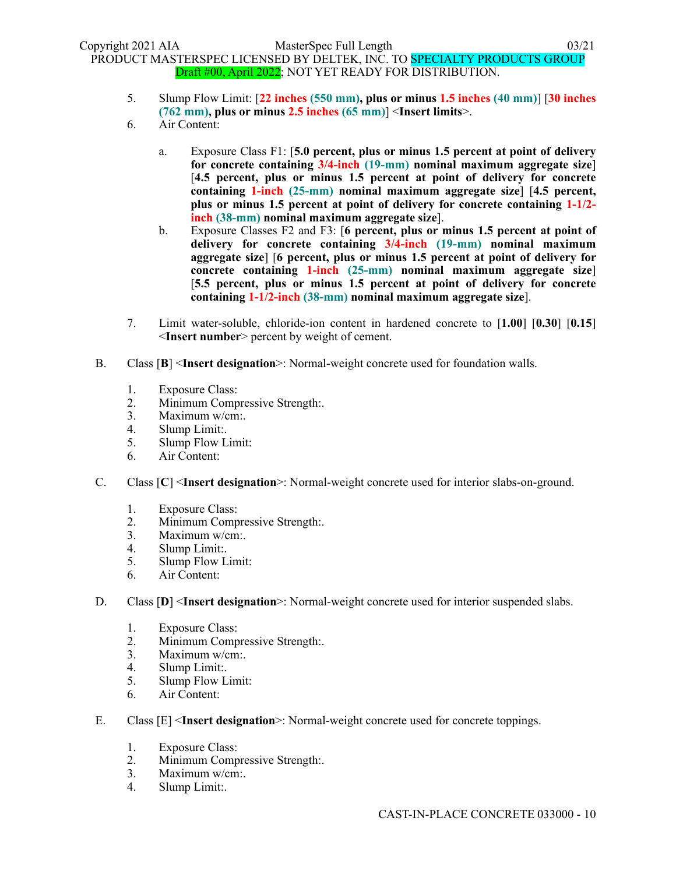- 5. Slump Flow Limit: [**22 inches (550 mm), plus or minus 1.5 inches (40 mm)**] [**30 inches (762 mm), plus or minus 2.5 inches (65 mm)**] <**Insert limits**>.
- 6. Air Content:
	- a. Exposure Class F1: [**5.0 percent, plus or minus 1.5 percent at point of delivery for concrete containing 3/4-inch (19-mm) nominal maximum aggregate size**] [**4.5 percent, plus or minus 1.5 percent at point of delivery for concrete containing 1-inch (25-mm) nominal maximum aggregate size**] [**4.5 percent, plus or minus 1.5 percent at point of delivery for concrete containing 1-1/2 inch (38-mm) nominal maximum aggregate size**].
	- b. Exposure Classes F2 and F3: [**6 percent, plus or minus 1.5 percent at point of delivery for concrete containing 3/4-inch (19-mm) nominal maximum aggregate size**] [**6 percent, plus or minus 1.5 percent at point of delivery for concrete containing 1-inch (25-mm) nominal maximum aggregate size**] [**5.5 percent, plus or minus 1.5 percent at point of delivery for concrete containing 1-1/2-inch (38-mm) nominal maximum aggregate size**].
- 7. Limit water-soluble, chloride-ion content in hardened concrete to [**1.00**] [**0.30**] [**0.15**] <**Insert number**> percent by weight of cement.
- B. Class [**B**] <**Insert designation**>: Normal-weight concrete used for foundation walls.
	- 1. Exposure Class:
	- 2. Minimum Compressive Strength:.
	- 3. Maximum w/cm:.
	- 4. Slump Limit:.
	- 5. Slump Flow Limit:
	- 6. Air Content:
- C. Class [**C**] <**Insert designation**>: Normal-weight concrete used for interior slabs-on-ground.
	- 1. Exposure Class:
	- 2. Minimum Compressive Strength:.
	- 3. Maximum w/cm:.
	- 4. Slump Limit:.
	- 5. Slump Flow Limit:
	- 6. Air Content:
- D. Class [**D**] <**Insert designation**>: Normal-weight concrete used for interior suspended slabs.
	- 1. Exposure Class:
	- 2. Minimum Compressive Strength:.
	- 3. Maximum w/cm:.
	- 4. Slump Limit:.
	- 5. Slump Flow Limit:
	- 6. Air Content:
- E. Class [E] <**Insert designation**>: Normal-weight concrete used for concrete toppings.
	- 1. Exposure Class:
	- 2. Minimum Compressive Strength:.
	- 3. Maximum w/cm:.
	- 4. Slump Limit:.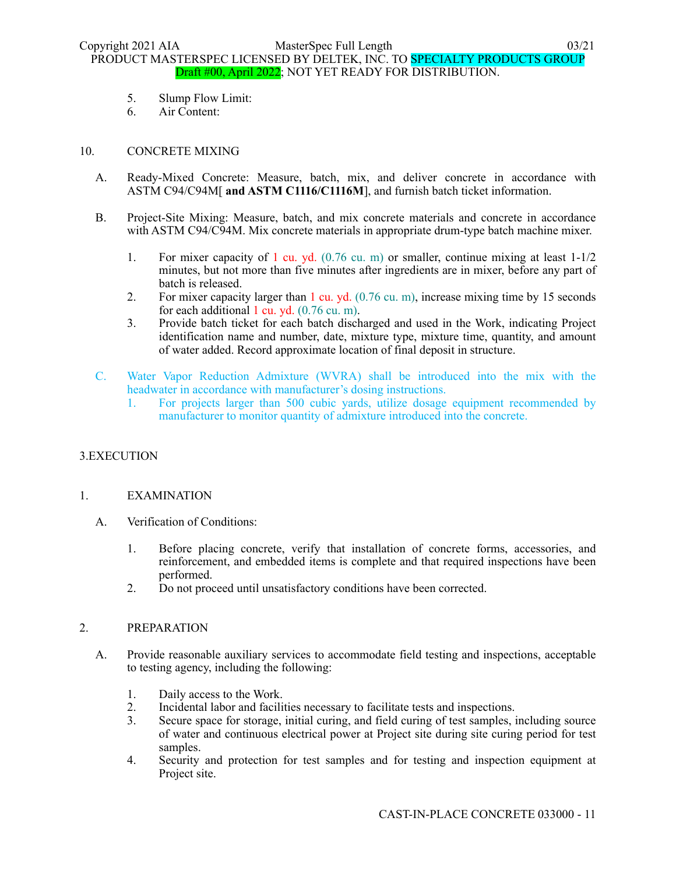- 5. Slump Flow Limit:
- 6. Air Content:

### 10. CONCRETE MIXING

- A. Ready-Mixed Concrete: Measure, batch, mix, and deliver concrete in accordance with ASTM C94/C94M[ **and ASTM C1116/C1116M**], and furnish batch ticket information.
- B. Project-Site Mixing: Measure, batch, and mix concrete materials and concrete in accordance with ASTM C94/C94M. Mix concrete materials in appropriate drum-type batch machine mixer.
	- 1. For mixer capacity of 1 cu. yd. (0.76 cu. m) or smaller, continue mixing at least 1-1/2 minutes, but not more than five minutes after ingredients are in mixer, before any part of batch is released.
	- 2. For mixer capacity larger than 1 cu. yd. (0.76 cu. m), increase mixing time by 15 seconds for each additional 1 cu. yd.  $(0.76 \text{ cu. m})$ .
	- 3. Provide batch ticket for each batch discharged and used in the Work, indicating Project identification name and number, date, mixture type, mixture time, quantity, and amount of water added. Record approximate location of final deposit in structure.
- C. Water Vapor Reduction Admixture (WVRA) shall be introduced into the mix with the headwater in accordance with manufacturer's dosing instructions.
	- 1. For projects larger than 500 cubic yards, utilize dosage equipment recommended by manufacturer to monitor quantity of admixture introduced into the concrete.

# 3.EXECUTION

### 1. EXAMINATION

- A. Verification of Conditions:
	- 1. Before placing concrete, verify that installation of concrete forms, accessories, and reinforcement, and embedded items is complete and that required inspections have been performed.
	- 2. Do not proceed until unsatisfactory conditions have been corrected.

### 2. PREPARATION

- A. Provide reasonable auxiliary services to accommodate field testing and inspections, acceptable to testing agency, including the following:
	- 1. Daily access to the Work.
	- 2. Incidental labor and facilities necessary to facilitate tests and inspections.
	- 3. Secure space for storage, initial curing, and field curing of test samples, including source of water and continuous electrical power at Project site during site curing period for test samples.
	- 4. Security and protection for test samples and for testing and inspection equipment at Project site.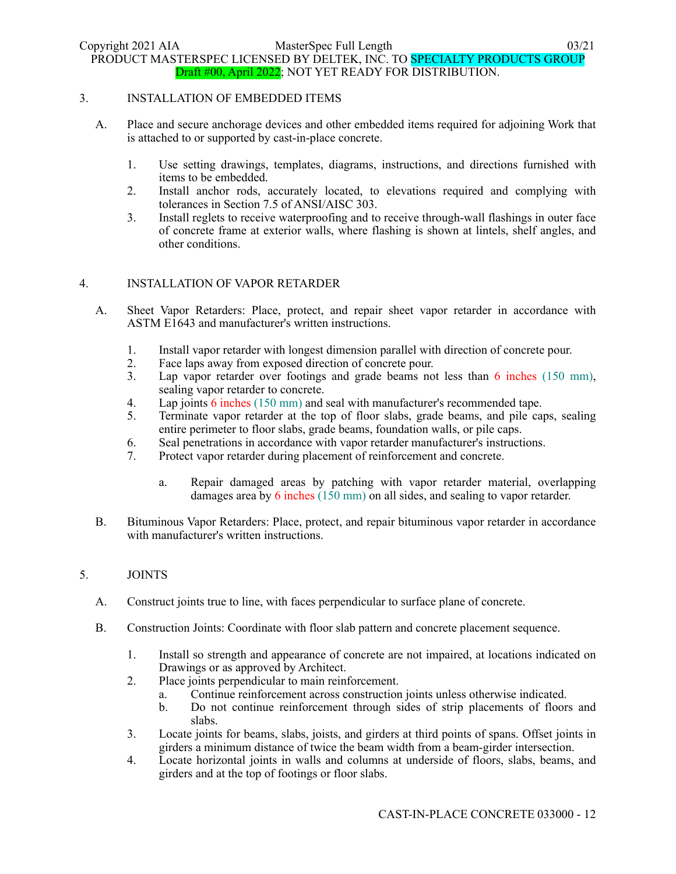#### 3. INSTALLATION OF EMBEDDED ITEMS

- A. Place and secure anchorage devices and other embedded items required for adjoining Work that is attached to or supported by cast-in-place concrete.
	- 1. Use setting drawings, templates, diagrams, instructions, and directions furnished with items to be embedded.
	- 2. Install anchor rods, accurately located, to elevations required and complying with tolerances in Section 7.5 of ANSI/AISC 303.
	- 3. Install reglets to receive waterproofing and to receive through-wall flashings in outer face of concrete frame at exterior walls, where flashing is shown at lintels, shelf angles, and other conditions.

### 4. INSTALLATION OF VAPOR RETARDER

- A. Sheet Vapor Retarders: Place, protect, and repair sheet vapor retarder in accordance with ASTM E1643 and manufacturer's written instructions.
	- 1. Install vapor retarder with longest dimension parallel with direction of concrete pour.
	- 2. Face laps away from exposed direction of concrete pour.
	- 3. Lap vapor retarder over footings and grade beams not less than 6 inches (150 mm), sealing vapor retarder to concrete.
	- 4. Lap joints 6 inches (150 mm) and seal with manufacturer's recommended tape.
	- 5. Terminate vapor retarder at the top of floor slabs, grade beams, and pile caps, sealing entire perimeter to floor slabs, grade beams, foundation walls, or pile caps.
	- 6. Seal penetrations in accordance with vapor retarder manufacturer's instructions.
	- 7. Protect vapor retarder during placement of reinforcement and concrete.
		- a. Repair damaged areas by patching with vapor retarder material, overlapping damages area by 6 inches (150 mm) on all sides, and sealing to vapor retarder.
- B. Bituminous Vapor Retarders: Place, protect, and repair bituminous vapor retarder in accordance with manufacturer's written instructions.

### 5. JOINTS

- A. Construct joints true to line, with faces perpendicular to surface plane of concrete.
- B. Construction Joints: Coordinate with floor slab pattern and concrete placement sequence.
	- 1. Install so strength and appearance of concrete are not impaired, at locations indicated on Drawings or as approved by Architect.
	- 2. Place joints perpendicular to main reinforcement.
		- a. Continue reinforcement across construction joints unless otherwise indicated.
		- b. Do not continue reinforcement through sides of strip placements of floors and slabs.
	- 3. Locate joints for beams, slabs, joists, and girders at third points of spans. Offset joints in girders a minimum distance of twice the beam width from a beam-girder intersection.
	- 4. Locate horizontal joints in walls and columns at underside of floors, slabs, beams, and girders and at the top of footings or floor slabs.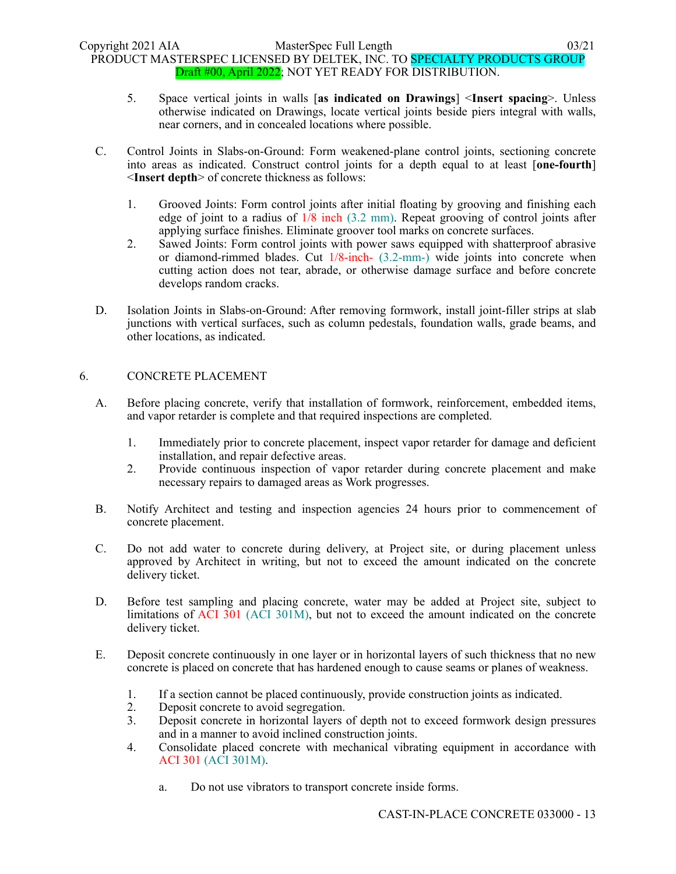- 5. Space vertical joints in walls [**as indicated on Drawings**] <**Insert spacing**>. Unless otherwise indicated on Drawings, locate vertical joints beside piers integral with walls, near corners, and in concealed locations where possible.
- C. Control Joints in Slabs-on-Ground: Form weakened-plane control joints, sectioning concrete into areas as indicated. Construct control joints for a depth equal to at least [**one-fourth**] <**Insert depth**> of concrete thickness as follows:
	- 1. Grooved Joints: Form control joints after initial floating by grooving and finishing each edge of joint to a radius of 1/8 inch (3.2 mm). Repeat grooving of control joints after applying surface finishes. Eliminate groover tool marks on concrete surfaces.
	- 2. Sawed Joints: Form control joints with power saws equipped with shatterproof abrasive or diamond-rimmed blades. Cut 1/8-inch- (3.2-mm-) wide joints into concrete when cutting action does not tear, abrade, or otherwise damage surface and before concrete develops random cracks.
- D. Isolation Joints in Slabs-on-Ground: After removing formwork, install joint-filler strips at slab junctions with vertical surfaces, such as column pedestals, foundation walls, grade beams, and other locations, as indicated.

### 6. CONCRETE PLACEMENT

- A. Before placing concrete, verify that installation of formwork, reinforcement, embedded items, and vapor retarder is complete and that required inspections are completed.
	- 1. Immediately prior to concrete placement, inspect vapor retarder for damage and deficient installation, and repair defective areas.
	- 2. Provide continuous inspection of vapor retarder during concrete placement and make necessary repairs to damaged areas as Work progresses.
- B. Notify Architect and testing and inspection agencies 24 hours prior to commencement of concrete placement.
- C. Do not add water to concrete during delivery, at Project site, or during placement unless approved by Architect in writing, but not to exceed the amount indicated on the concrete delivery ticket.
- D. Before test sampling and placing concrete, water may be added at Project site, subject to limitations of ACI 301 (ACI 301M), but not to exceed the amount indicated on the concrete delivery ticket.
- E. Deposit concrete continuously in one layer or in horizontal layers of such thickness that no new concrete is placed on concrete that has hardened enough to cause seams or planes of weakness.
	- 1. If a section cannot be placed continuously, provide construction joints as indicated.
	- 2. Deposit concrete to avoid segregation.
	- 3. Deposit concrete in horizontal layers of depth not to exceed formwork design pressures and in a manner to avoid inclined construction joints.
	- 4. Consolidate placed concrete with mechanical vibrating equipment in accordance with ACI 301 (ACI 301M).
		- a. Do not use vibrators to transport concrete inside forms.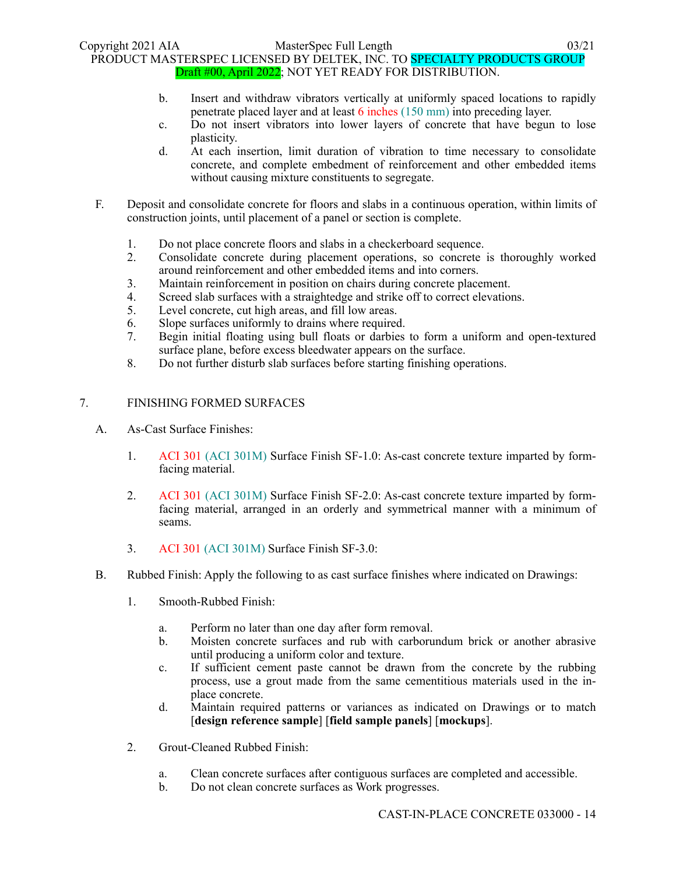- b. Insert and withdraw vibrators vertically at uniformly spaced locations to rapidly penetrate placed layer and at least 6 inches (150 mm) into preceding layer.
- c. Do not insert vibrators into lower layers of concrete that have begun to lose plasticity.
- d. At each insertion, limit duration of vibration to time necessary to consolidate concrete, and complete embedment of reinforcement and other embedded items without causing mixture constituents to segregate.
- F. Deposit and consolidate concrete for floors and slabs in a continuous operation, within limits of construction joints, until placement of a panel or section is complete.
	- 1. Do not place concrete floors and slabs in a checkerboard sequence.
	- 2. Consolidate concrete during placement operations, so concrete is thoroughly worked around reinforcement and other embedded items and into corners.
	- 3. Maintain reinforcement in position on chairs during concrete placement.
	- 4. Screed slab surfaces with a straightedge and strike off to correct elevations.
	- 5. Level concrete, cut high areas, and fill low areas.
	- 6. Slope surfaces uniformly to drains where required.
	- 7. Begin initial floating using bull floats or darbies to form a uniform and open-textured surface plane, before excess bleedwater appears on the surface.
	- 8. Do not further disturb slab surfaces before starting finishing operations.

### 7. FINISHING FORMED SURFACES

- A. As-Cast Surface Finishes:
	- 1. ACI 301 (ACI 301M) Surface Finish SF-1.0: As-cast concrete texture imparted by formfacing material.
	- 2. ACI 301 (ACI 301M) Surface Finish SF-2.0: As-cast concrete texture imparted by formfacing material, arranged in an orderly and symmetrical manner with a minimum of seams.
	- 3. ACI 301 (ACI 301M) Surface Finish SF-3.0:
- B. Rubbed Finish: Apply the following to as cast surface finishes where indicated on Drawings:
	- 1. Smooth-Rubbed Finish:
		- a. Perform no later than one day after form removal.
		- b. Moisten concrete surfaces and rub with carborundum brick or another abrasive until producing a uniform color and texture.
		- c. If sufficient cement paste cannot be drawn from the concrete by the rubbing process, use a grout made from the same cementitious materials used in the inplace concrete.
		- d. Maintain required patterns or variances as indicated on Drawings or to match [**design reference sample**] [**field sample panels**] [**mockups**].
	- 2. Grout-Cleaned Rubbed Finish:
		- a. Clean concrete surfaces after contiguous surfaces are completed and accessible.
		- b. Do not clean concrete surfaces as Work progresses.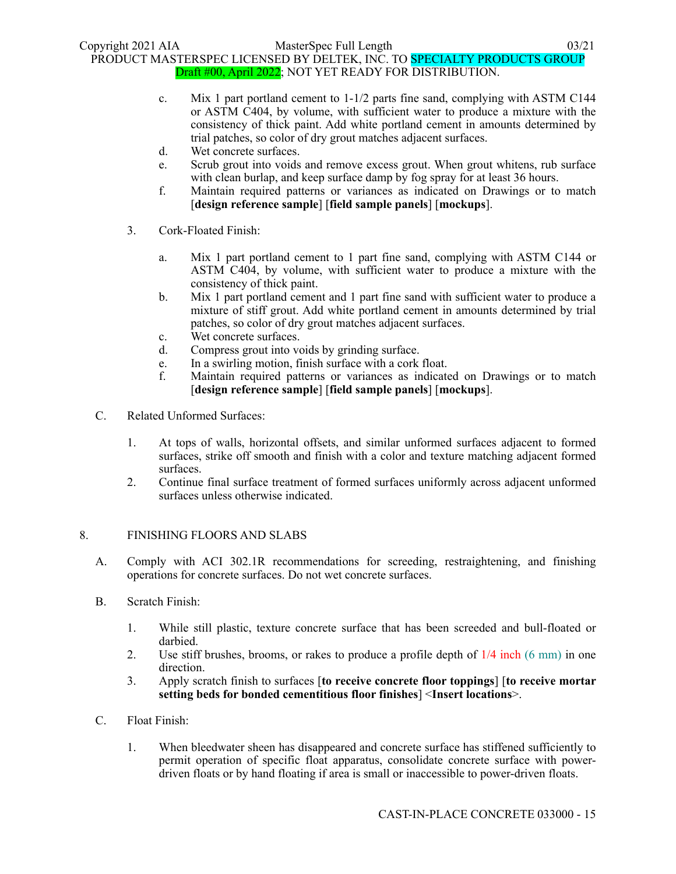- c. Mix 1 part portland cement to  $1-1/2$  parts fine sand, complying with ASTM C144 or ASTM C404, by volume, with sufficient water to produce a mixture with the consistency of thick paint. Add white portland cement in amounts determined by trial patches, so color of dry grout matches adjacent surfaces.
- d. Wet concrete surfaces.
- e. Scrub grout into voids and remove excess grout. When grout whitens, rub surface with clean burlap, and keep surface damp by fog spray for at least 36 hours.
- f. Maintain required patterns or variances as indicated on Drawings or to match [**design reference sample**] [**field sample panels**] [**mockups**].
- 3. Cork-Floated Finish:
	- a. Mix 1 part portland cement to 1 part fine sand, complying with ASTM C144 or ASTM C404, by volume, with sufficient water to produce a mixture with the consistency of thick paint.
	- b. Mix 1 part portland cement and 1 part fine sand with sufficient water to produce a mixture of stiff grout. Add white portland cement in amounts determined by trial patches, so color of dry grout matches adjacent surfaces.
	- c. Wet concrete surfaces.
	- d. Compress grout into voids by grinding surface.
	- e. In a swirling motion, finish surface with a cork float.
	- f. Maintain required patterns or variances as indicated on Drawings or to match [**design reference sample**] [**field sample panels**] [**mockups**].
- C. Related Unformed Surfaces:
	- 1. At tops of walls, horizontal offsets, and similar unformed surfaces adjacent to formed surfaces, strike off smooth and finish with a color and texture matching adjacent formed surfaces.
	- 2. Continue final surface treatment of formed surfaces uniformly across adjacent unformed surfaces unless otherwise indicated.

### 8. FINISHING FLOORS AND SLABS

- A. Comply with ACI 302.1R recommendations for screeding, restraightening, and finishing operations for concrete surfaces. Do not wet concrete surfaces.
- B. Scratch Finish:
	- 1. While still plastic, texture concrete surface that has been screeded and bull-floated or darbied.
	- 2. Use stiff brushes, brooms, or rakes to produce a profile depth of 1/4 inch (6 mm) in one direction.
	- 3. Apply scratch finish to surfaces [**to receive concrete floor toppings**] [**to receive mortar setting beds for bonded cementitious floor finishes**] <**Insert locations**>.
- C. Float Finish:
	- 1. When bleedwater sheen has disappeared and concrete surface has stiffened sufficiently to permit operation of specific float apparatus, consolidate concrete surface with powerdriven floats or by hand floating if area is small or inaccessible to power-driven floats.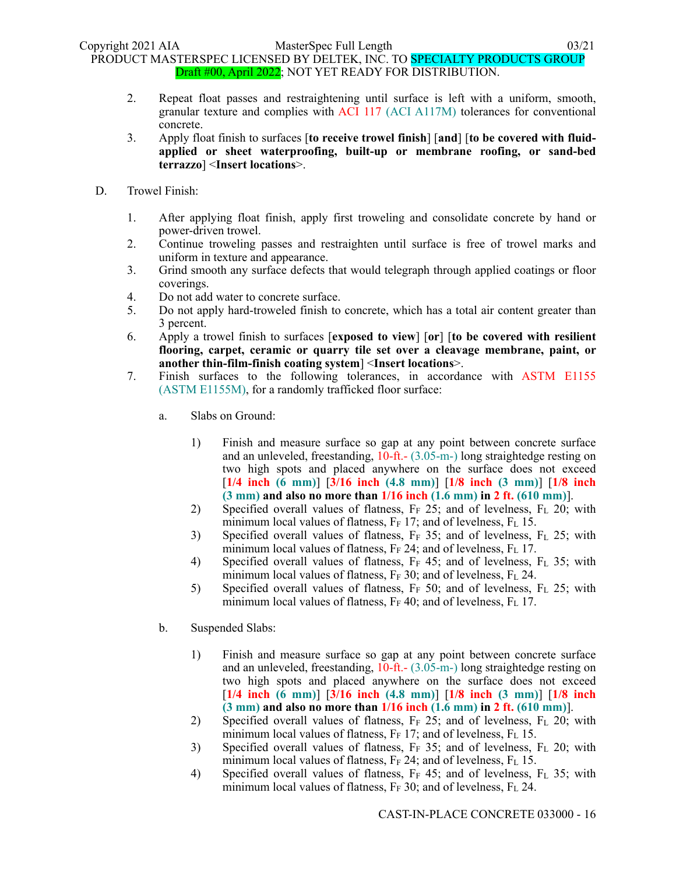- 2. Repeat float passes and restraightening until surface is left with a uniform, smooth, granular texture and complies with ACI 117 (ACI A117M) tolerances for conventional concrete.
- 3. Apply float finish to surfaces [**to receive trowel finish**] [**and**] [**to be covered with fluidapplied or sheet waterproofing, built-up or membrane roofing, or sand-bed terrazzo**] <**Insert locations**>.
- D. Trowel Finish:
	- 1. After applying float finish, apply first troweling and consolidate concrete by hand or power-driven trowel.
	- 2. Continue troweling passes and restraighten until surface is free of trowel marks and uniform in texture and appearance.
	- 3. Grind smooth any surface defects that would telegraph through applied coatings or floor coverings.
	- 4. Do not add water to concrete surface.
	- 5. Do not apply hard-troweled finish to concrete, which has a total air content greater than 3 percent.
	- 6. Apply a trowel finish to surfaces [**exposed to view**] [**or**] [**to be covered with resilient flooring, carpet, ceramic or quarry tile set over a cleavage membrane, paint, or another thin-film-finish coating system**] <**Insert locations**>.
	- 7. Finish surfaces to the following tolerances, in accordance with ASTM E1155 (ASTM E1155M), for a randomly trafficked floor surface:
		- a. Slabs on Ground:
			- 1) Finish and measure surface so gap at any point between concrete surface and an unleveled, freestanding, 10-ft.- (3.05-m-) long straightedge resting on two high spots and placed anywhere on the surface does not exceed [**1/4 inch (6 mm)**] [**3/16 inch (4.8 mm)**] [**1/8 inch (3 mm)**] [**1/8 inch (3 mm) and also no more than 1/16 inch (1.6 mm) in 2 ft. (610 mm)**].
			- 2) Specified overall values of flatness,  $F_F$  25; and of levelness,  $F_L$  20; with minimum local values of flatness,  $F_F$  17; and of levelness,  $F_L$  15.
			- 3) Specified overall values of flatness,  $F_F$  35; and of levelness,  $F_L$  25; with minimum local values of flatness,  $F_F$  24; and of levelness,  $F_L$  17.
			- 4) Specified overall values of flatness,  $F_F$  45; and of levelness,  $F_L$  35; with minimum local values of flatness,  $F_F$  30; and of levelness,  $F_L$  24.
			- 5) Specified overall values of flatness, F<sub>F</sub> 50; and of levelness, F<sub>L</sub> 25; with minimum local values of flatness,  $F_F$  40; and of levelness,  $F_L$  17.
		- b. Suspended Slabs:
			- 1) Finish and measure surface so gap at any point between concrete surface and an unleveled, freestanding, 10-ft.- (3.05-m-) long straightedge resting on two high spots and placed anywhere on the surface does not exceed [**1/4 inch (6 mm)**] [**3/16 inch (4.8 mm)**] [**1/8 inch (3 mm)**] [**1/8 inch (3 mm) and also no more than 1/16 inch (1.6 mm) in 2 ft. (610 mm)**].
			- 2) Specified overall values of flatness,  $F_F$  25; and of levelness,  $F_L$  20; with minimum local values of flatness,  $F_F$  17; and of levelness,  $F_L$  15.
			- 3) Specified overall values of flatness,  $F_F$  35; and of levelness,  $F_L$  20; with minimum local values of flatness,  $F_F$  24; and of levelness,  $F_L$  15.
			- 4) Specified overall values of flatness,  $F_F$  45; and of levelness,  $F_L$  35; with minimum local values of flatness,  $F_F$  30; and of levelness,  $F_L$  24.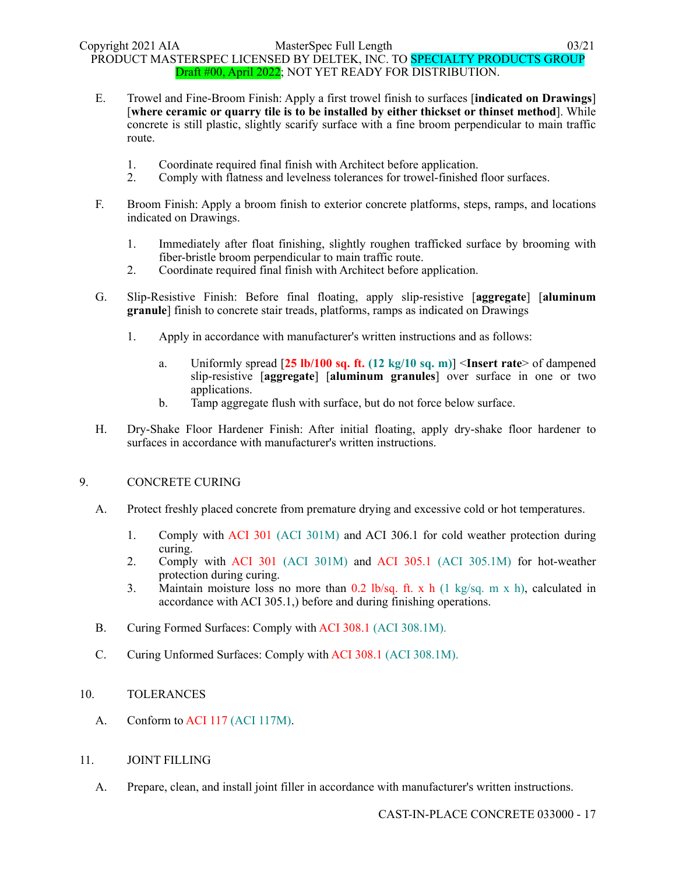- E. Trowel and Fine-Broom Finish: Apply a first trowel finish to surfaces [**indicated on Drawings**] [**where ceramic or quarry tile is to be installed by either thickset or thinset method**]. While concrete is still plastic, slightly scarify surface with a fine broom perpendicular to main traffic route.
	- 1. Coordinate required final finish with Architect before application.
	- 2. Comply with flatness and levelness tolerances for trowel-finished floor surfaces.
- F. Broom Finish: Apply a broom finish to exterior concrete platforms, steps, ramps, and locations indicated on Drawings.
	- 1. Immediately after float finishing, slightly roughen trafficked surface by brooming with fiber-bristle broom perpendicular to main traffic route.
	- 2. Coordinate required final finish with Architect before application.
- G. Slip-Resistive Finish: Before final floating, apply slip-resistive [**aggregate**] [**aluminum granule**] finish to concrete stair treads, platforms, ramps as indicated on Drawings
	- 1. Apply in accordance with manufacturer's written instructions and as follows:
		- a. Uniformly spread [**25 lb/100 sq. ft. (12 kg/10 sq. m)**] <**Insert rate**> of dampened slip-resistive [**aggregate**] [**aluminum granules**] over surface in one or two applications.
		- b. Tamp aggregate flush with surface, but do not force below surface.
- H. Dry-Shake Floor Hardener Finish: After initial floating, apply dry-shake floor hardener to surfaces in accordance with manufacturer's written instructions.

### 9. CONCRETE CURING

- A. Protect freshly placed concrete from premature drying and excessive cold or hot temperatures.
	- 1. Comply with ACI 301 (ACI 301M) and ACI 306.1 for cold weather protection during curing.
	- 2. Comply with ACI 301 (ACI 301M) and ACI 305.1 (ACI 305.1M) for hot-weather protection during curing.
	- 3. Maintain moisture loss no more than 0.2 lb/sq. ft. x h (1 kg/sq. m x h), calculated in accordance with ACI 305.1,) before and during finishing operations.
- B. Curing Formed Surfaces: Comply with ACI 308.1 (ACI 308.1M).
- C. Curing Unformed Surfaces: Comply with ACI 308.1 (ACI 308.1M).

# 10. TOLERANCES

A. Conform to ACI 117 (ACI 117M).

### 11. JOINT FILLING

A. Prepare, clean, and install joint filler in accordance with manufacturer's written instructions.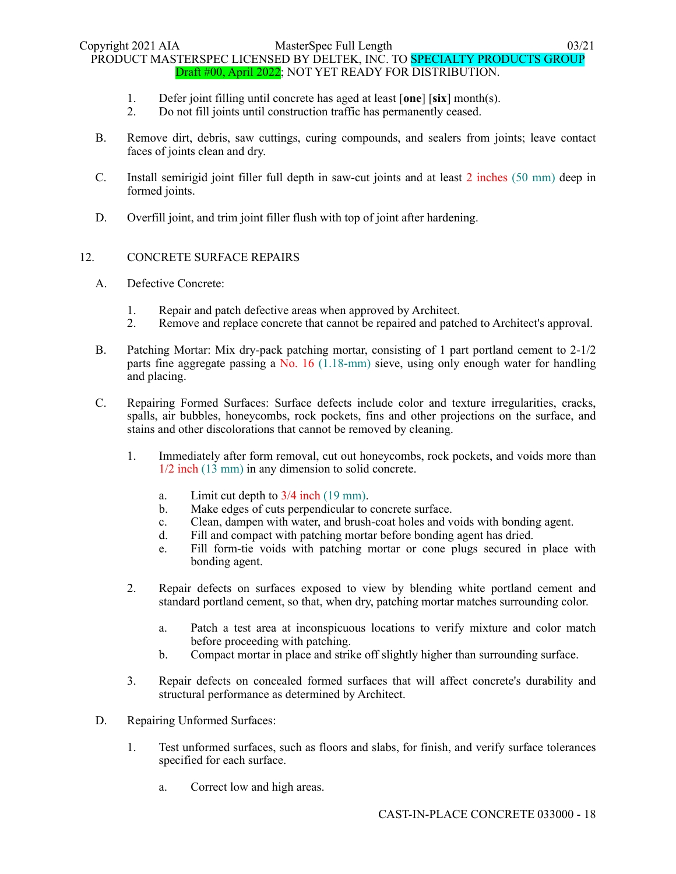- 1. Defer joint filling until concrete has aged at least [**one**] [**six**] month(s).
- 2. Do not fill joints until construction traffic has permanently ceased.
- B. Remove dirt, debris, saw cuttings, curing compounds, and sealers from joints; leave contact faces of joints clean and dry.
- C. Install semirigid joint filler full depth in saw-cut joints and at least 2 inches (50 mm) deep in formed joints.
- D. Overfill joint, and trim joint filler flush with top of joint after hardening.

### 12. CONCRETE SURFACE REPAIRS

- A. Defective Concrete:
	- 1. Repair and patch defective areas when approved by Architect.
	- 2. Remove and replace concrete that cannot be repaired and patched to Architect's approval.
- B. Patching Mortar: Mix dry-pack patching mortar, consisting of 1 part portland cement to 2-1/2 parts fine aggregate passing a No. 16 (1.18-mm) sieve, using only enough water for handling and placing.
- C. Repairing Formed Surfaces: Surface defects include color and texture irregularities, cracks, spalls, air bubbles, honeycombs, rock pockets, fins and other projections on the surface, and stains and other discolorations that cannot be removed by cleaning.
	- 1. Immediately after form removal, cut out honeycombs, rock pockets, and voids more than 1/2 inch (13 mm) in any dimension to solid concrete.
		- a. Limit cut depth to 3/4 inch (19 mm).
		- b. Make edges of cuts perpendicular to concrete surface.
		- c. Clean, dampen with water, and brush-coat holes and voids with bonding agent.
		- d. Fill and compact with patching mortar before bonding agent has dried.
		- e. Fill form-tie voids with patching mortar or cone plugs secured in place with bonding agent.
	- 2. Repair defects on surfaces exposed to view by blending white portland cement and standard portland cement, so that, when dry, patching mortar matches surrounding color.
		- a. Patch a test area at inconspicuous locations to verify mixture and color match before proceeding with patching.
		- b. Compact mortar in place and strike off slightly higher than surrounding surface.
	- 3. Repair defects on concealed formed surfaces that will affect concrete's durability and structural performance as determined by Architect.
- D. Repairing Unformed Surfaces:
	- 1. Test unformed surfaces, such as floors and slabs, for finish, and verify surface tolerances specified for each surface.
		- a. Correct low and high areas.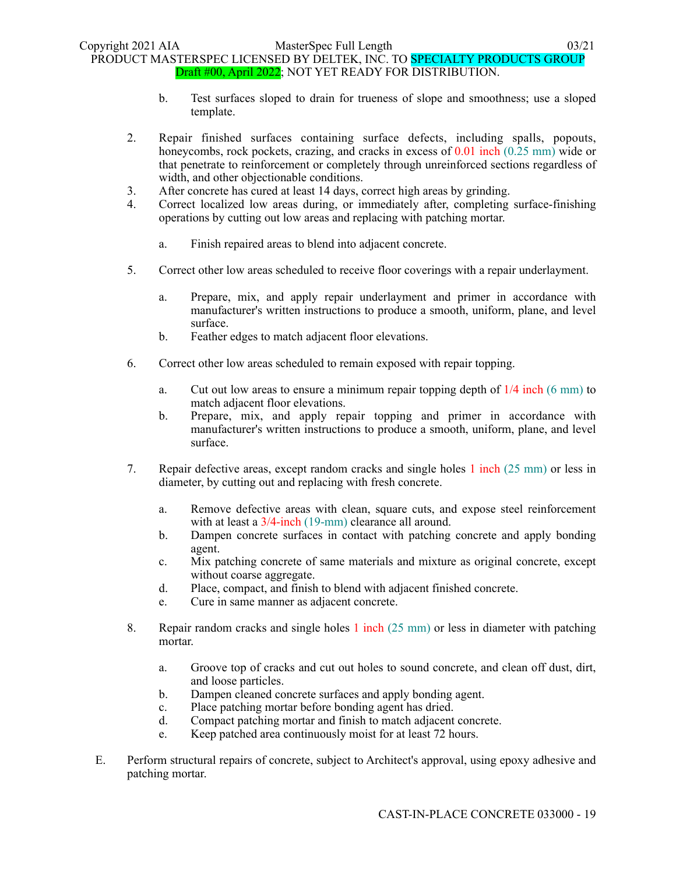- b. Test surfaces sloped to drain for trueness of slope and smoothness; use a sloped template.
- 2. Repair finished surfaces containing surface defects, including spalls, popouts, honeycombs, rock pockets, crazing, and cracks in excess of 0.01 inch (0.25 mm) wide or that penetrate to reinforcement or completely through unreinforced sections regardless of width, and other objectionable conditions.
- 3. After concrete has cured at least 14 days, correct high areas by grinding.
- 4. Correct localized low areas during, or immediately after, completing surface-finishing operations by cutting out low areas and replacing with patching mortar.
	- a. Finish repaired areas to blend into adjacent concrete.
- 5. Correct other low areas scheduled to receive floor coverings with a repair underlayment.
	- a. Prepare, mix, and apply repair underlayment and primer in accordance with manufacturer's written instructions to produce a smooth, uniform, plane, and level surface.
	- b. Feather edges to match adjacent floor elevations.
- 6. Correct other low areas scheduled to remain exposed with repair topping.
	- a. Cut out low areas to ensure a minimum repair topping depth of  $1/4$  inch (6 mm) to match adjacent floor elevations.
	- b. Prepare, mix, and apply repair topping and primer in accordance with manufacturer's written instructions to produce a smooth, uniform, plane, and level surface.
- 7. Repair defective areas, except random cracks and single holes 1 inch (25 mm) or less in diameter, by cutting out and replacing with fresh concrete.
	- a. Remove defective areas with clean, square cuts, and expose steel reinforcement with at least a  $3/4$ -inch (19-mm) clearance all around.
	- b. Dampen concrete surfaces in contact with patching concrete and apply bonding agent.
	- c. Mix patching concrete of same materials and mixture as original concrete, except without coarse aggregate.
	- d. Place, compact, and finish to blend with adjacent finished concrete.
	- e. Cure in same manner as adjacent concrete.
- 8. Repair random cracks and single holes 1 inch (25 mm) or less in diameter with patching mortar.
	- a. Groove top of cracks and cut out holes to sound concrete, and clean off dust, dirt, and loose particles.
	- b. Dampen cleaned concrete surfaces and apply bonding agent.
	- c. Place patching mortar before bonding agent has dried.
	- d. Compact patching mortar and finish to match adjacent concrete.
	- e. Keep patched area continuously moist for at least 72 hours.
- E. Perform structural repairs of concrete, subject to Architect's approval, using epoxy adhesive and patching mortar.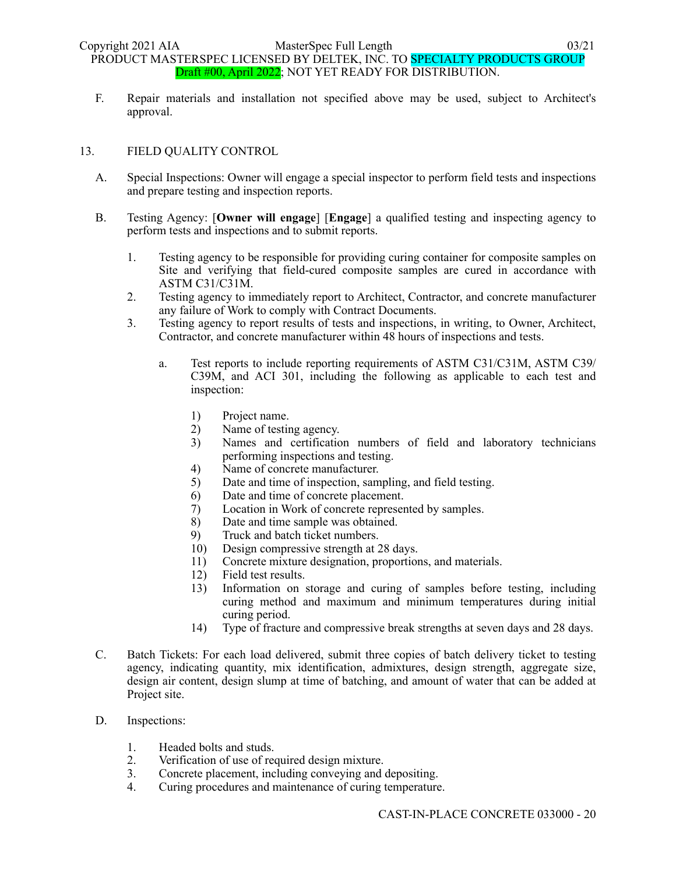F. Repair materials and installation not specified above may be used, subject to Architect's approval.

# 13. FIELD QUALITY CONTROL

- A. Special Inspections: Owner will engage a special inspector to perform field tests and inspections and prepare testing and inspection reports.
- B. Testing Agency: [**Owner will engage**] [**Engage**] a qualified testing and inspecting agency to perform tests and inspections and to submit reports.
	- 1. Testing agency to be responsible for providing curing container for composite samples on Site and verifying that field-cured composite samples are cured in accordance with ASTM C31/C31M.
	- 2. Testing agency to immediately report to Architect, Contractor, and concrete manufacturer any failure of Work to comply with Contract Documents.
	- 3. Testing agency to report results of tests and inspections, in writing, to Owner, Architect, Contractor, and concrete manufacturer within 48 hours of inspections and tests.
		- a. Test reports to include reporting requirements of ASTM C31/C31M, ASTM C39/ C39M, and ACI 301, including the following as applicable to each test and inspection:
			- 1) Project name.
			- 2) Name of testing agency.
			- 3) Names and certification numbers of field and laboratory technicians performing inspections and testing.
			- 4) Name of concrete manufacturer.
			- 5) Date and time of inspection, sampling, and field testing.
			- 6) Date and time of concrete placement.
			- 7) Location in Work of concrete represented by samples.
			- 8) Date and time sample was obtained.
			- 9) Truck and batch ticket numbers.
			- 10) Design compressive strength at 28 days.
			- 11) Concrete mixture designation, proportions, and materials.
			- 12) Field test results.
			- 13) Information on storage and curing of samples before testing, including curing method and maximum and minimum temperatures during initial curing period.
			- 14) Type of fracture and compressive break strengths at seven days and 28 days.
- C. Batch Tickets: For each load delivered, submit three copies of batch delivery ticket to testing agency, indicating quantity, mix identification, admixtures, design strength, aggregate size, design air content, design slump at time of batching, and amount of water that can be added at Project site.
- D. Inspections:
	- 1. Headed bolts and studs.
	- 2. Verification of use of required design mixture.
	- 3. Concrete placement, including conveying and depositing.
	- 4. Curing procedures and maintenance of curing temperature.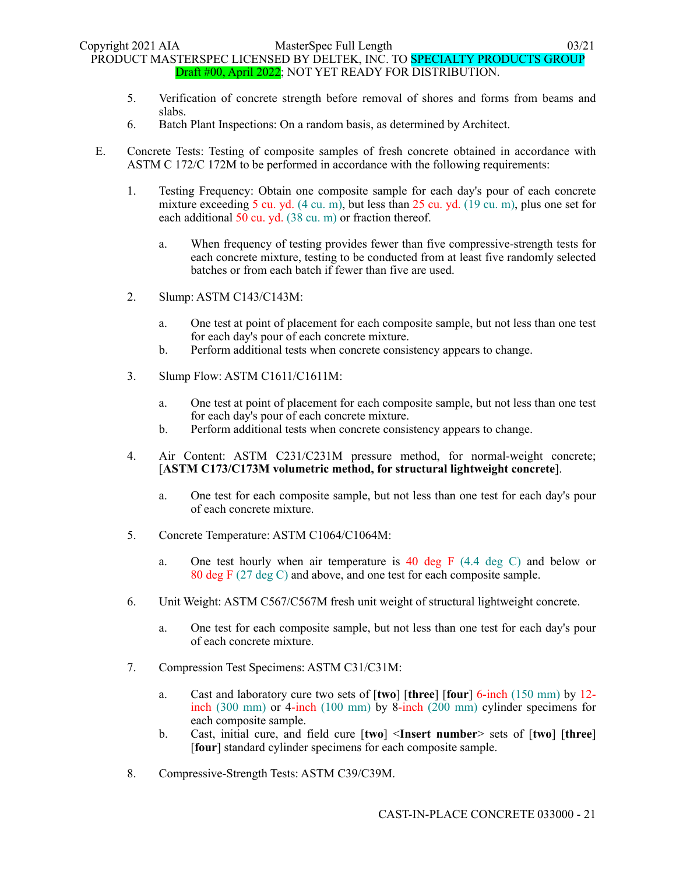- 5. Verification of concrete strength before removal of shores and forms from beams and slabs.
- 6. Batch Plant Inspections: On a random basis, as determined by Architect.
- E. Concrete Tests: Testing of composite samples of fresh concrete obtained in accordance with ASTM C 172/C 172M to be performed in accordance with the following requirements:
	- 1. Testing Frequency: Obtain one composite sample for each day's pour of each concrete mixture exceeding 5 cu. yd.  $(4 \text{ cu. m})$ , but less than  $25 \text{ cu. yd.}$   $(19 \text{ cu. m})$ , plus one set for each additional 50 cu. yd. (38 cu. m) or fraction thereof.
		- a. When frequency of testing provides fewer than five compressive-strength tests for each concrete mixture, testing to be conducted from at least five randomly selected batches or from each batch if fewer than five are used.
	- 2. Slump: ASTM C143/C143M:
		- a. One test at point of placement for each composite sample, but not less than one test for each day's pour of each concrete mixture.
		- b. Perform additional tests when concrete consistency appears to change.
	- 3. Slump Flow: ASTM C1611/C1611M:
		- a. One test at point of placement for each composite sample, but not less than one test for each day's pour of each concrete mixture.
		- b. Perform additional tests when concrete consistency appears to change.
	- 4. Air Content: ASTM C231/C231M pressure method, for normal-weight concrete; [**ASTM C173/C173M volumetric method, for structural lightweight concrete**].
		- a. One test for each composite sample, but not less than one test for each day's pour of each concrete mixture.
	- 5. Concrete Temperature: ASTM C1064/C1064M:
		- a. One test hourly when air temperature is 40 deg F (4.4 deg C) and below or 80 deg F (27 deg C) and above, and one test for each composite sample.
	- 6. Unit Weight: ASTM C567/C567M fresh unit weight of structural lightweight concrete.
		- a. One test for each composite sample, but not less than one test for each day's pour of each concrete mixture.
	- 7. Compression Test Specimens: ASTM C31/C31M:
		- a. Cast and laboratory cure two sets of [**two**] [**three**] [**four**] 6-inch (150 mm) by 12 inch (300 mm) or 4-inch (100 mm) by 8-inch (200 mm) cylinder specimens for each composite sample.
		- b. Cast, initial cure, and field cure [**two**] <**Insert number**> sets of [**two**] [**three**] [**four**] standard cylinder specimens for each composite sample.
	- 8. Compressive-Strength Tests: ASTM C39/C39M.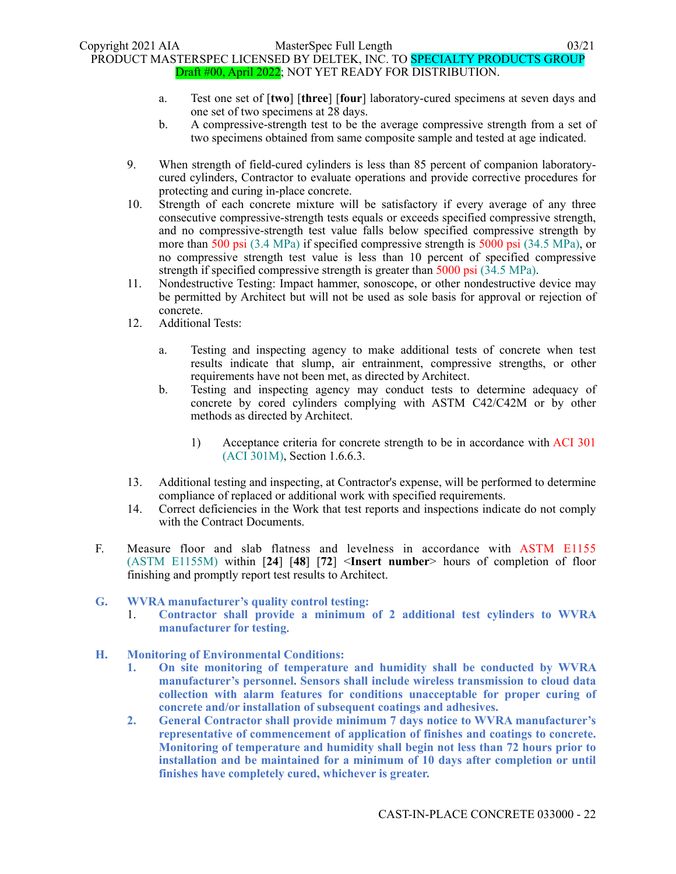- a. Test one set of [**two**] [**three**] [**four**] laboratory-cured specimens at seven days and one set of two specimens at 28 days.
- b. A compressive-strength test to be the average compressive strength from a set of two specimens obtained from same composite sample and tested at age indicated.
- 9. When strength of field-cured cylinders is less than 85 percent of companion laboratorycured cylinders, Contractor to evaluate operations and provide corrective procedures for protecting and curing in-place concrete.
- 10. Strength of each concrete mixture will be satisfactory if every average of any three consecutive compressive-strength tests equals or exceeds specified compressive strength, and no compressive-strength test value falls below specified compressive strength by more than 500 psi (3.4 MPa) if specified compressive strength is 5000 psi (34.5 MPa), or no compressive strength test value is less than 10 percent of specified compressive strength if specified compressive strength is greater than 5000 psi (34.5 MPa).
- 11. Nondestructive Testing: Impact hammer, sonoscope, or other nondestructive device may be permitted by Architect but will not be used as sole basis for approval or rejection of concrete.
- 12. Additional Tests:
	- a. Testing and inspecting agency to make additional tests of concrete when test results indicate that slump, air entrainment, compressive strengths, or other requirements have not been met, as directed by Architect.
	- b. Testing and inspecting agency may conduct tests to determine adequacy of concrete by cored cylinders complying with ASTM C42/C42M or by other methods as directed by Architect.
		- 1) Acceptance criteria for concrete strength to be in accordance with ACI 301 (ACI 301M), Section 1.6.6.3.
- 13. Additional testing and inspecting, at Contractor's expense, will be performed to determine compliance of replaced or additional work with specified requirements.
- 14. Correct deficiencies in the Work that test reports and inspections indicate do not comply with the Contract Documents.
- F. Measure floor and slab flatness and levelness in accordance with ASTM E1155 (ASTM E1155M) within [**24**] [**48**] [**72**] <**Insert number**> hours of completion of floor finishing and promptly report test results to Architect.

# **G. WVRA manufacturer's quality control testing:**

- 1. **Contractor shall provide a minimum of 2 additional test cylinders to WVRA manufacturer for testing**.
- **H. Monitoring of Environmental Conditions:** 
	- **1. On site monitoring of temperature and humidity shall be conducted by WVRA manufacturer's personnel. Sensors shall include wireless transmission to cloud data collection with alarm features for conditions unacceptable for proper curing of concrete and/or installation of subsequent coatings and adhesives.**
	- **2. General Contractor shall provide minimum 7 days notice to WVRA manufacturer's representative of commencement of application of finishes and coatings to concrete. Monitoring of temperature and humidity shall begin not less than 72 hours prior to installation and be maintained for a minimum of 10 days after completion or until finishes have completely cured, whichever is greater.**